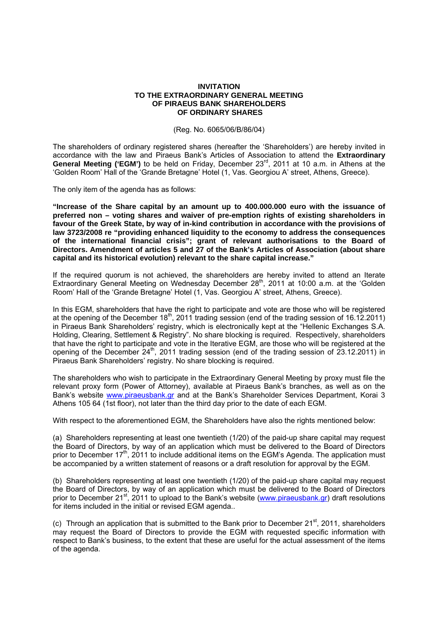## **INVITATION TO THE EXTRAORDINARY GENERAL MEETING OF PIRAEUS BANK SHAREHOLDERS OF ORDINARY SHARES**

## (Reg. No. 6065/06/Β/86/04)

The shareholders of ordinary registered shares (hereafter the 'Shareholders') are hereby invited in accordance with the law and Piraeus Bank's Articles of Association to attend the **Extraordinary General Meeting ('EGM')** to be held on Friday, December 23rd, 2011 at 10 a.m. in Athens at the 'Golden Room' Hall of the 'Grande Bretagne' Hotel (1, Vas. Georgiou Α' street, Athens, Greece).

The only item of the agenda has as follows:

**"Increase of the Share capital by an amount up to 400.000.000 euro with the issuance of preferred non – voting shares and waiver of pre-emption rights of existing shareholders in favour of the Greek State, by way of in-kind contribution in accordance with the provisions of law 3723/2008 re "providing enhanced liquidity to the economy to address the consequences of the international financial crisis"; grant of relevant authorisations to the Board of Directors. Amendment of articles 5 and 27 of the Bank's Articles of Association (about share capital and its historical evolution) relevant to the share capital increase."** 

If the required quorum is not achieved, the shareholders are hereby invited to attend an Iterate Extraordinary General Meeting on Wednesday December 28th, 2011 at 10:00 a.m. at the 'Golden Room' Hall of the 'Grande Bretagne' Hotel (1, Vas. Georgiou Α' street, Athens, Greece).

In this EGM, shareholders that have the right to participate and vote are those who will be registered at the opening of the December 18th, 2011 trading session (end of the trading session of 16.12.2011) in Piraeus Bank Shareholders' registry, which is electronically kept at the "Hellenic Exchanges S.A. Holding, Clearing, Settlement & Registry". No share blocking is required. Respectively, shareholders that have the right to participate and vote in the Iterative EGM, are those who will be registered at the opening of the December  $24<sup>th</sup>$ , 2011 trading session (end of the trading session of 23.12.2011) in Piraeus Bank Shareholders' registry. No share blocking is required.

The shareholders who wish to participate in the Extraordinary General Meeting by proxy must file the relevant proxy form (Power of Attorney), available at Piraeus Bank's branches, as well as on the Bank's website www.piraeusbank.gr and at the Bank's Shareholder Services Department, Korai 3 Athens 105 64 (1st floor), not later than the third day prior to the date of each EGM.

With respect to the aforementioned EGM, the Shareholders have also the rights mentioned below:

(a) Shareholders representing at least one twentieth (1/20) of the paid-up share capital may request the Board of Directors, by way of an application which must be delivered to the Board of Directors prior to December 17<sup>th</sup>, 2011 to include additional items on the EGM's Agenda. The application must be accompanied by a written statement of reasons or a draft resolution for approval by the EGM.

(b) Shareholders representing at least one twentieth (1/20) of the paid-up share capital may request the Board of Directors, by way of an application which must be delivered to the Board of Directors prior to December 21<sup>st</sup>, 2011 to upload to the Bank's website (www.piraeusbank.gr) draft resolutions for items included in the initial or revised EGM agenda..

(c) Through an application that is submitted to the Bank prior to December  $21<sup>st</sup>$ , 2011, shareholders may request the Board of Directors to provide the EGM with requested specific information with respect to Bank's business, to the extent that these are useful for the actual assessment of the items of the agenda.